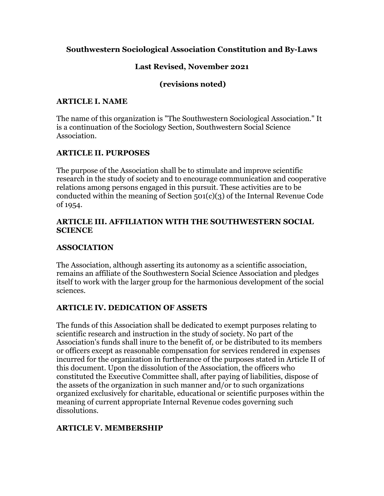### **Southwestern Sociological Association Constitution and By-Laws**

### **Last Revised, November 2021**

#### **(revisions noted)**

#### **ARTICLE I. NAME**

The name of this organization is "The Southwestern Sociological Association." It is a continuation of the Sociology Section, Southwestern Social Science Association.

### **ARTICLE II. PURPOSES**

The purpose of the Association shall be to stimulate and improve scientific research in the study of society and to encourage communication and cooperative relations among persons engaged in this pursuit. These activities are to be conducted within the meaning of Section 501(c)(3) of the Internal Revenue Code of 1954.

#### **ARTICLE III. AFFILIATION WITH THE SOUTHWESTERN SOCIAL SCIENCE**

#### **ASSOCIATION**

The Association, although asserting its autonomy as a scientific association, remains an affiliate of the Southwestern Social Science Association and pledges itself to work with the larger group for the harmonious development of the social sciences.

### **ARTICLE IV. DEDICATION OF ASSETS**

The funds of this Association shall be dedicated to exempt purposes relating to scientific research and instruction in the study of society. No part of the Association's funds shall inure to the benefit of, or be distributed to its members or officers except as reasonable compensation for services rendered in expenses incurred for the organization in furtherance of the purposes stated in Article II of this document. Upon the dissolution of the Association, the officers who constituted the Executive Committee shall, after paying of liabilities, dispose of the assets of the organization in such manner and/or to such organizations organized exclusively for charitable, educational or scientific purposes within the meaning of current appropriate Internal Revenue codes governing such dissolutions.

### **ARTICLE V. MEMBERSHIP**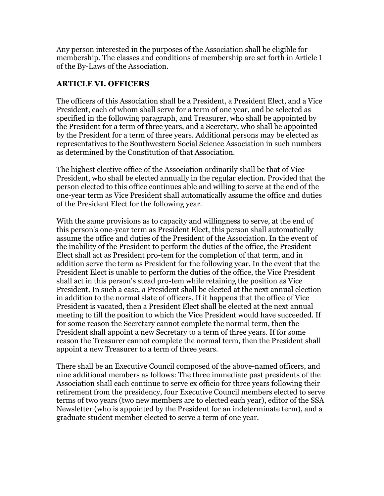Any person interested in the purposes of the Association shall be eligible for membership. The classes and conditions of membership are set forth in Article I of the By-Laws of the Association.

#### **ARTICLE VI. OFFICERS**

The officers of this Association shall be a President, a President Elect, and a Vice President, each of whom shall serve for a term of one year, and be selected as specified in the following paragraph, and Treasurer, who shall be appointed by the President for a term of three years, and a Secretary, who shall be appointed by the President for a term of three years. Additional persons may be elected as representatives to the Southwestern Social Science Association in such numbers as determined by the Constitution of that Association.

The highest elective office of the Association ordinarily shall be that of Vice President, who shall be elected annually in the regular election. Provided that the person elected to this office continues able and willing to serve at the end of the one-year term as Vice President shall automatically assume the office and duties of the President Elect for the following year.

With the same provisions as to capacity and willingness to serve, at the end of this person's one-year term as President Elect, this person shall automatically assume the office and duties of the President of the Association. In the event of the inability of the President to perform the duties of the office, the President Elect shall act as President pro-tem for the completion of that term, and in addition serve the term as President for the following year. In the event that the President Elect is unable to perform the duties of the office, the Vice President shall act in this person's stead pro-tem while retaining the position as Vice President. In such a case, a President shall be elected at the next annual election in addition to the normal slate of officers. If it happens that the office of Vice President is vacated, then a President Elect shall be elected at the next annual meeting to fill the position to which the Vice President would have succeeded. If for some reason the Secretary cannot complete the normal term, then the President shall appoint a new Secretary to a term of three years. If for some reason the Treasurer cannot complete the normal term, then the President shall appoint a new Treasurer to a term of three years.

There shall be an Executive Council composed of the above-named officers, and nine additional members as follows: The three immediate past presidents of the Association shall each continue to serve ex officio for three years following their retirement from the presidency, four Executive Council members elected to serve terms of two years (two new members are to elected each year), editor of the SSA Newsletter (who is appointed by the President for an indeterminate term), and a graduate student member elected to serve a term of one year.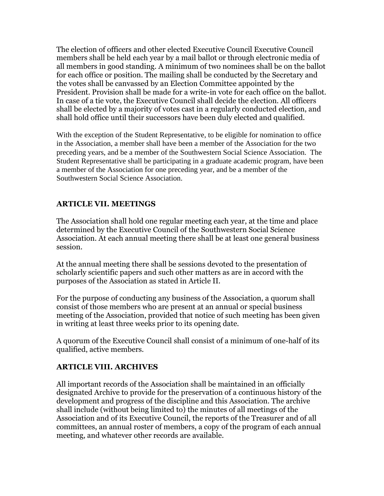The election of officers and other elected Executive Council Executive Council members shall be held each year by a mail ballot or through electronic media of all members in good standing. A minimum of two nominees shall be on the ballot for each office or position. The mailing shall be conducted by the Secretary and the votes shall be canvassed by an Election Committee appointed by the President. Provision shall be made for a write-in vote for each office on the ballot. In case of a tie vote, the Executive Council shall decide the election. All officers shall be elected by a majority of votes cast in a regularly conducted election, and shall hold office until their successors have been duly elected and qualified.

With the exception of the Student Representative, to be eligible for nomination to office in the Association, a member shall have been a member of the Association for the two preceding years, and be a member of the Southwestern Social Science Association. The Student Representative shall be participating in a graduate academic program, have been a member of the Association for one preceding year, and be a member of the Southwestern Social Science Association.

# **ARTICLE VII. MEETINGS**

The Association shall hold one regular meeting each year, at the time and place determined by the Executive Council of the Southwestern Social Science Association. At each annual meeting there shall be at least one general business session.

At the annual meeting there shall be sessions devoted to the presentation of scholarly scientific papers and such other matters as are in accord with the purposes of the Association as stated in Article II.

For the purpose of conducting any business of the Association, a quorum shall consist of those members who are present at an annual or special business meeting of the Association, provided that notice of such meeting has been given in writing at least three weeks prior to its opening date.

A quorum of the Executive Council shall consist of a minimum of one-half of its qualified, active members.

### **ARTICLE VIII. ARCHIVES**

All important records of the Association shall be maintained in an officially designated Archive to provide for the preservation of a continuous history of the development and progress of the discipline and this Association. The archive shall include (without being limited to) the minutes of all meetings of the Association and of its Executive Council, the reports of the Treasurer and of all committees, an annual roster of members, a copy of the program of each annual meeting, and whatever other records are available.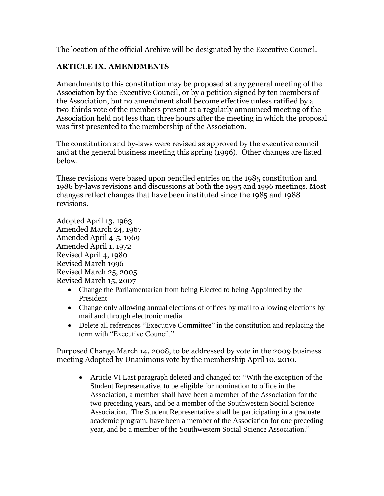The location of the official Archive will be designated by the Executive Council.

# **ARTICLE IX. AMENDMENTS**

Amendments to this constitution may be proposed at any general meeting of the Association by the Executive Council, or by a petition signed by ten members of the Association, but no amendment shall become effective unless ratified by a two-thirds vote of the members present at a regularly announced meeting of the Association held not less than three hours after the meeting in which the proposal was first presented to the membership of the Association.

The constitution and by-laws were revised as approved by the executive council and at the general business meeting this spring (1996). Other changes are listed below.

These revisions were based upon penciled entries on the 1985 constitution and 1988 by-laws revisions and discussions at both the 1995 and 1996 meetings. Most changes reflect changes that have been instituted since the 1985 and 1988 revisions.

Adopted April 13, 1963 Amended March 24, 1967 Amended April 4-5, 1969 Amended April 1, 1972 Revised April 4, 1980 Revised March 1996 Revised March 25, 2005 Revised March 15, 2007

- Change the Parliamentarian from being Elected to being Appointed by the President
- Change only allowing annual elections of offices by mail to allowing elections by mail and through electronic media
- Delete all references "Executive Committee" in the constitution and replacing the term with "Executive Council."

Purposed Change March 14, 2008, to be addressed by vote in the 2009 business meeting Adopted by Unanimous vote by the membership April 10, 2010.

• Article VI Last paragraph deleted and changed to: "With the exception of the Student Representative, to be eligible for nomination to office in the Association, a member shall have been a member of the Association for the two preceding years, and be a member of the Southwestern Social Science Association. The Student Representative shall be participating in a graduate academic program, have been a member of the Association for one preceding year, and be a member of the Southwestern Social Science Association."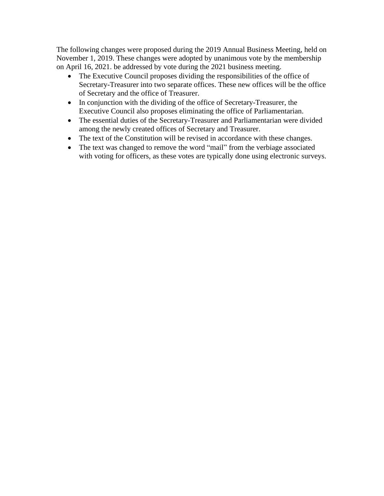The following changes were proposed during the 2019 Annual Business Meeting, held on November 1, 2019. These changes were adopted by unanimous vote by the membership on April 16, 2021. be addressed by vote during the 2021 business meeting.

- The Executive Council proposes dividing the responsibilities of the office of Secretary-Treasurer into two separate offices. These new offices will be the office of Secretary and the office of Treasurer.
- In conjunction with the dividing of the office of Secretary-Treasurer, the Executive Council also proposes eliminating the office of Parliamentarian.
- The essential duties of the Secretary-Treasurer and Parliamentarian were divided among the newly created offices of Secretary and Treasurer.
- The text of the Constitution will be revised in accordance with these changes.
- The text was changed to remove the word "mail" from the verbiage associated with voting for officers, as these votes are typically done using electronic surveys.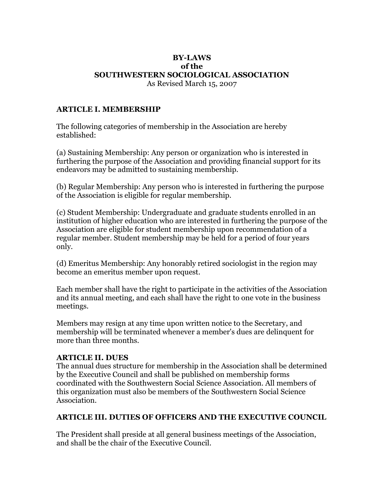#### **BY-LAWS of the SOUTHWESTERN SOCIOLOGICAL ASSOCIATION** As Revised March 15, 2007

#### **ARTICLE I. MEMBERSHIP**

The following categories of membership in the Association are hereby established:

(a) Sustaining Membership: Any person or organization who is interested in furthering the purpose of the Association and providing financial support for its endeavors may be admitted to sustaining membership.

(b) Regular Membership: Any person who is interested in furthering the purpose of the Association is eligible for regular membership.

(c) Student Membership: Undergraduate and graduate students enrolled in an institution of higher education who are interested in furthering the purpose of the Association are eligible for student membership upon recommendation of a regular member. Student membership may be held for a period of four years only.

(d) Emeritus Membership: Any honorably retired sociologist in the region may become an emeritus member upon request.

Each member shall have the right to participate in the activities of the Association and its annual meeting, and each shall have the right to one vote in the business meetings.

Members may resign at any time upon written notice to the Secretary, and membership will be terminated whenever a member's dues are delinquent for more than three months.

#### **ARTICLE II. DUES**

The annual dues structure for membership in the Association shall be determined by the Executive Council and shall be published on membership forms coordinated with the Southwestern Social Science Association. All members of this organization must also be members of the Southwestern Social Science Association.

#### **ARTICLE III. DUTIES OF OFFICERS AND THE EXECUTIVE COUNCIL**

The President shall preside at all general business meetings of the Association, and shall be the chair of the Executive Council.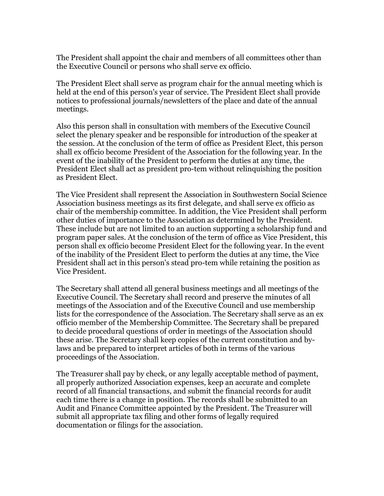The President shall appoint the chair and members of all committees other than the Executive Council or persons who shall serve ex officio.

The President Elect shall serve as program chair for the annual meeting which is held at the end of this person's year of service. The President Elect shall provide notices to professional journals/newsletters of the place and date of the annual meetings.

Also this person shall in consultation with members of the Executive Council select the plenary speaker and be responsible for introduction of the speaker at the session. At the conclusion of the term of office as President Elect, this person shall ex officio become President of the Association for the following year. In the event of the inability of the President to perform the duties at any time, the President Elect shall act as president pro-tem without relinquishing the position as President Elect.

The Vice President shall represent the Association in Southwestern Social Science Association business meetings as its first delegate, and shall serve ex officio as chair of the membership committee. In addition, the Vice President shall perform other duties of importance to the Association as determined by the President. These include but are not limited to an auction supporting a scholarship fund and program paper sales. At the conclusion of the term of office as Vice President, this person shall ex officio become President Elect for the following year. In the event of the inability of the President Elect to perform the duties at any time, the Vice President shall act in this person's stead pro-tem while retaining the position as Vice President.

The Secretary shall attend all general business meetings and all meetings of the Executive Council. The Secretary shall record and preserve the minutes of all meetings of the Association and of the Executive Council and use membership lists for the correspondence of the Association. The Secretary shall serve as an ex officio member of the Membership Committee. The Secretary shall be prepared to decide procedural questions of order in meetings of the Association should these arise. The Secretary shall keep copies of the current constitution and bylaws and be prepared to interpret articles of both in terms of the various proceedings of the Association.

The Treasurer shall pay by check, or any legally acceptable method of payment, all properly authorized Association expenses, keep an accurate and complete record of all financial transactions, and submit the financial records for audit each time there is a change in position. The records shall be submitted to an Audit and Finance Committee appointed by the President. The Treasurer will submit all appropriate tax filing and other forms of legally required documentation or filings for the association.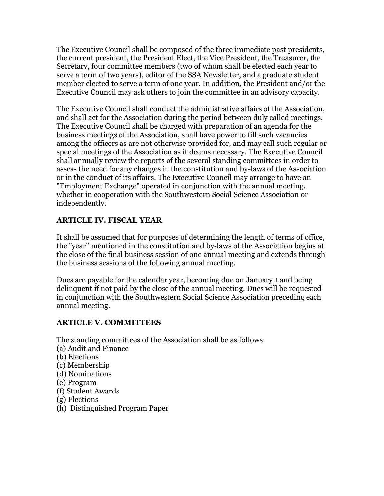The Executive Council shall be composed of the three immediate past presidents, the current president, the President Elect, the Vice President, the Treasurer, the Secretary, four committee members (two of whom shall be elected each year to serve a term of two years), editor of the SSA Newsletter, and a graduate student member elected to serve a term of one year. In addition, the President and/or the Executive Council may ask others to join the committee in an advisory capacity.

The Executive Council shall conduct the administrative affairs of the Association, and shall act for the Association during the period between duly called meetings. The Executive Council shall be charged with preparation of an agenda for the business meetings of the Association, shall have power to fill such vacancies among the officers as are not otherwise provided for, and may call such regular or special meetings of the Association as it deems necessary. The Executive Council shall annually review the reports of the several standing committees in order to assess the need for any changes in the constitution and by-laws of the Association or in the conduct of its affairs. The Executive Council may arrange to have an "Employment Exchange" operated in conjunction with the annual meeting, whether in cooperation with the Southwestern Social Science Association or independently.

# **ARTICLE IV. FISCAL YEAR**

It shall be assumed that for purposes of determining the length of terms of office, the "year" mentioned in the constitution and by-laws of the Association begins at the close of the final business session of one annual meeting and extends through the business sessions of the following annual meeting.

Dues are payable for the calendar year, becoming due on January 1 and being delinquent if not paid by the close of the annual meeting. Dues will be requested in conjunction with the Southwestern Social Science Association preceding each annual meeting.

### **ARTICLE V. COMMITTEES**

The standing committees of the Association shall be as follows:

- (a) Audit and Finance
- (b) Elections
- (c) Membership
- (d) Nominations
- (e) Program
- (f) Student Awards
- (g) Elections
- (h) Distinguished Program Paper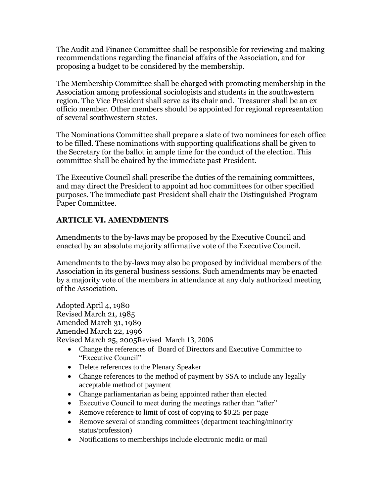The Audit and Finance Committee shall be responsible for reviewing and making recommendations regarding the financial affairs of the Association, and for proposing a budget to be considered by the membership.

The Membership Committee shall be charged with promoting membership in the Association among professional sociologists and students in the southwestern region. The Vice President shall serve as its chair and. Treasurer shall be an ex officio member. Other members should be appointed for regional representation of several southwestern states.

The Nominations Committee shall prepare a slate of two nominees for each office to be filled. These nominations with supporting qualifications shall be given to the Secretary for the ballot in ample time for the conduct of the election. This committee shall be chaired by the immediate past President.

The Executive Council shall prescribe the duties of the remaining committees, and may direct the President to appoint ad hoc committees for other specified purposes. The immediate past President shall chair the Distinguished Program Paper Committee.

### **ARTICLE VI. AMENDMENTS**

Amendments to the by-laws may be proposed by the Executive Council and enacted by an absolute majority affirmative vote of the Executive Council.

Amendments to the by-laws may also be proposed by individual members of the Association in its general business sessions. Such amendments may be enacted by a majority vote of the members in attendance at any duly authorized meeting of the Association.

Adopted April 4, 1980 Revised March 21, 1985 Amended March 31, 1989 Amended March 22, 1996 Revised March 25, 2005Revised March 13, 2006

- Change the references of Board of Directors and Executive Committee to "Executive Council"
- Delete references to the Plenary Speaker
- Change references to the method of payment by SSA to include any legally acceptable method of payment
- Change parliamentarian as being appointed rather than elected
- Executive Council to meet during the meetings rather than "after"
- Remove reference to limit of cost of copying to \$0.25 per page
- Remove several of standing committees (department teaching/minority status/profession)
- Notifications to memberships include electronic media or mail